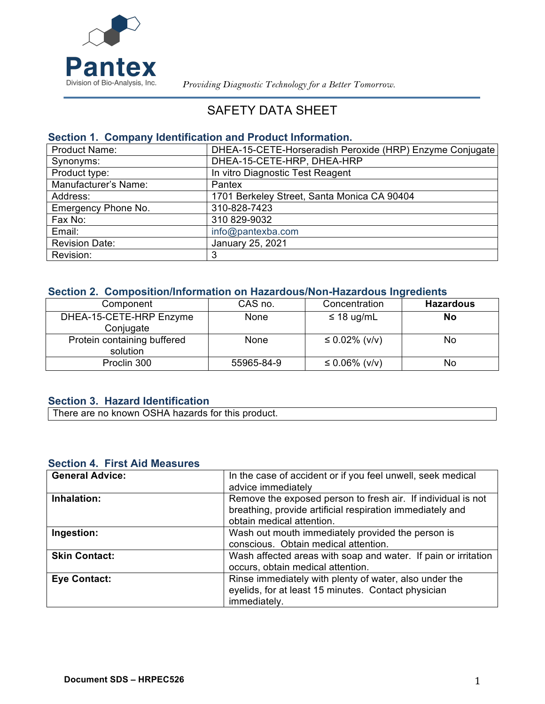

 *Providing Diagnostic Technology for a Better Tomorrow.*

# SAFETY DATA SHEET

### **Section 1. Company Identification and Product Information.**

| <b>Product Name:</b>  | DHEA-15-CETE-Horseradish Peroxide (HRP) Enzyme Conjugate |
|-----------------------|----------------------------------------------------------|
| Synonyms:             | DHEA-15-CETE-HRP, DHEA-HRP                               |
| Product type:         | In vitro Diagnostic Test Reagent                         |
| Manufacturer's Name:  | Pantex                                                   |
| Address:              | 1701 Berkeley Street, Santa Monica CA 90404              |
| Emergency Phone No.   | 310-828-7423                                             |
| Fax No:               | 310 829-9032                                             |
| Email:                | info@pantexba.com                                        |
| <b>Revision Date:</b> | January 25, 2021                                         |
| Revision:             | 3                                                        |

## **Section 2. Composition/Information on Hazardous/Non-Hazardous Ingredients**

| Component                               | CAS no.     | Concentration     | <b>Hazardous</b> |
|-----------------------------------------|-------------|-------------------|------------------|
| DHEA-15-CETE-HRP Enzyme<br>Conjugate    | <b>None</b> | $\leq$ 18 ug/mL   | <b>No</b>        |
| Protein containing buffered<br>solution | None        | ≤ 0.02% ( $v/v$ ) | No               |
| Proclin 300                             | 55965-84-9  | ≤ 0.06% ( $v/v$ ) | No               |

### **Section 3. Hazard Identification**

There are no known OSHA hazards for this product.

#### **Section 4. First Aid Measures**

| <b>General Advice:</b> | In the case of accident or if you feel unwell, seek medical<br>advice immediately                                                                      |
|------------------------|--------------------------------------------------------------------------------------------------------------------------------------------------------|
| Inhalation:            | Remove the exposed person to fresh air. If individual is not<br>breathing, provide artificial respiration immediately and<br>obtain medical attention. |
| Ingestion:             | Wash out mouth immediately provided the person is<br>conscious. Obtain medical attention.                                                              |
| <b>Skin Contact:</b>   | Wash affected areas with soap and water. If pain or irritation<br>occurs, obtain medical attention.                                                    |
| <b>Eye Contact:</b>    | Rinse immediately with plenty of water, also under the<br>eyelids, for at least 15 minutes. Contact physician<br>immediately.                          |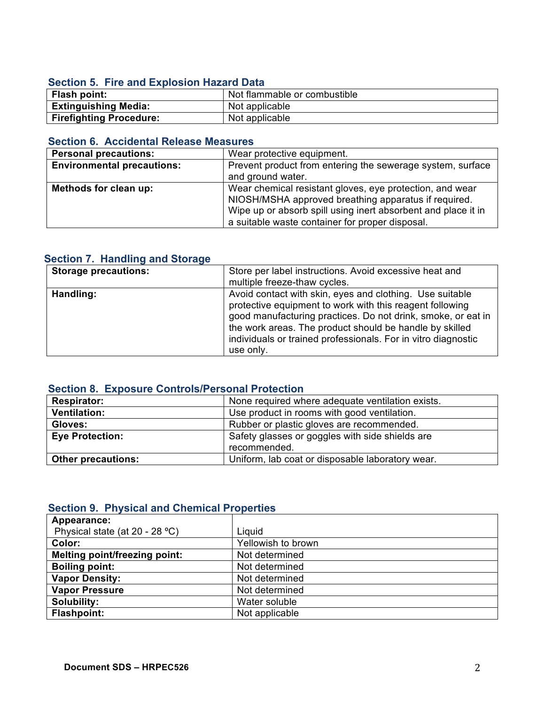### **Section 5. Fire and Explosion Hazard Data**

| Flash point:                   | Not flammable or combustible |
|--------------------------------|------------------------------|
| <b>Extinguishing Media:</b>    | Not applicable               |
| <b>Firefighting Procedure:</b> | Not applicable               |

## **Section 6. Accidental Release Measures**

| <b>Personal precautions:</b>      | Wear protective equipment.                                    |
|-----------------------------------|---------------------------------------------------------------|
| <b>Environmental precautions:</b> | Prevent product from entering the sewerage system, surface    |
|                                   | and ground water.                                             |
| Methods for clean up:             | Wear chemical resistant gloves, eye protection, and wear      |
|                                   | NIOSH/MSHA approved breathing apparatus if required.          |
|                                   | Wipe up or absorb spill using inert absorbent and place it in |
|                                   | a suitable waste container for proper disposal.               |

## **Section 7. Handling and Storage**

| <b>Storage precautions:</b> | Store per label instructions. Avoid excessive heat and<br>multiple freeze-thaw cycles.                                                                                                                                                                                                                                        |
|-----------------------------|-------------------------------------------------------------------------------------------------------------------------------------------------------------------------------------------------------------------------------------------------------------------------------------------------------------------------------|
| Handling:                   | Avoid contact with skin, eyes and clothing. Use suitable<br>protective equipment to work with this reagent following<br>good manufacturing practices. Do not drink, smoke, or eat in<br>the work areas. The product should be handle by skilled<br>individuals or trained professionals. For in vitro diagnostic<br>use only. |

### **Section 8. Exposure Controls/Personal Protection**

| <b>Respirator:</b>        | None required where adequate ventilation exists. |
|---------------------------|--------------------------------------------------|
| <b>Ventilation:</b>       | Use product in rooms with good ventilation.      |
| Gloves:                   | Rubber or plastic gloves are recommended.        |
| <b>Eye Protection:</b>    | Safety glasses or goggles with side shields are  |
|                           | recommended.                                     |
| <b>Other precautions:</b> | Uniform, lab coat or disposable laboratory wear. |
|                           |                                                  |

### **Section 9. Physical and Chemical Properties**

| Appearance:                          |                    |
|--------------------------------------|--------------------|
| Physical state (at 20 - 28 °C)       | Liguid             |
| Color:                               | Yellowish to brown |
| <b>Melting point/freezing point:</b> | Not determined     |
| <b>Boiling point:</b>                | Not determined     |
| <b>Vapor Density:</b>                | Not determined     |
| <b>Vapor Pressure</b>                | Not determined     |
| Solubility:                          | Water soluble      |
| <b>Flashpoint:</b>                   | Not applicable     |